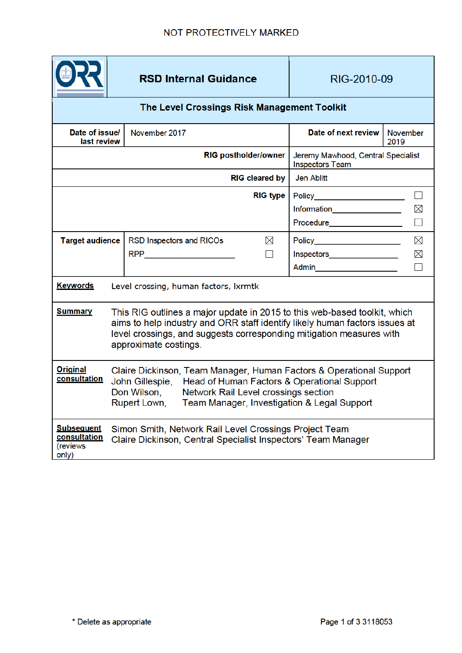|                                                        |                                                                                                                                                                                                                                                           | <b>RSD Internal Guidance</b>         | RIG-2010-09                                                  |                         |  |  |
|--------------------------------------------------------|-----------------------------------------------------------------------------------------------------------------------------------------------------------------------------------------------------------------------------------------------------------|--------------------------------------|--------------------------------------------------------------|-------------------------|--|--|
| The Level Crossings Risk Management Toolkit            |                                                                                                                                                                                                                                                           |                                      |                                                              |                         |  |  |
| Date of issue/<br>last review                          |                                                                                                                                                                                                                                                           | November 2017                        | Date of next review                                          | <b>November</b><br>2019 |  |  |
| <b>RIG postholder/owner</b>                            |                                                                                                                                                                                                                                                           |                                      | Jeremy Mawhood, Central Specialist<br><b>Inspectors Team</b> |                         |  |  |
| <b>RIG cleared by</b>                                  |                                                                                                                                                                                                                                                           |                                      | Jen Ablitt                                                   |                         |  |  |
|                                                        |                                                                                                                                                                                                                                                           | <b>RIG type</b>                      | Policy_________________________                              | $\Box$                  |  |  |
|                                                        |                                                                                                                                                                                                                                                           |                                      | Information_________________                                 | $\times$                |  |  |
|                                                        |                                                                                                                                                                                                                                                           |                                      | Procedure__________________                                  | $\Box$                  |  |  |
| <b>Target audience</b>                                 |                                                                                                                                                                                                                                                           | RSD Inspectors and RICOs<br>$\times$ | Policy_______________________                                | $\times$                |  |  |
|                                                        |                                                                                                                                                                                                                                                           | $\Box$                               | Inspectors__________________                                 | X                       |  |  |
|                                                        |                                                                                                                                                                                                                                                           |                                      | Admin_______________________                                 |                         |  |  |
| <b>Keywords</b>                                        | Level crossing, human factors, lxrmtk                                                                                                                                                                                                                     |                                      |                                                              |                         |  |  |
| <b>Summary</b>                                         | This RIG outlines a major update in 2015 to this web-based toolkit, which<br>aims to help industry and ORR staff identify likely human factors issues at<br>level crossings, and suggests corresponding mitigation measures with<br>approximate costings. |                                      |                                                              |                         |  |  |
| <b>Original</b><br><u>consultation</u>                 | Claire Dickinson, Team Manager, Human Factors & Operational Support<br>Head of Human Factors & Operational Support<br>John Gillespie,<br>Network Rail Level crossings section<br>Don Wilson,<br>Rupert Lown, Team Manager, Investigation & Legal Support  |                                      |                                                              |                         |  |  |
| <b>Subsequent</b><br>consultation<br>(reviews<br>only) | Simon Smith, Network Rail Level Crossings Project Team<br>Claire Dickinson, Central Specialist Inspectors' Team Manager                                                                                                                                   |                                      |                                                              |                         |  |  |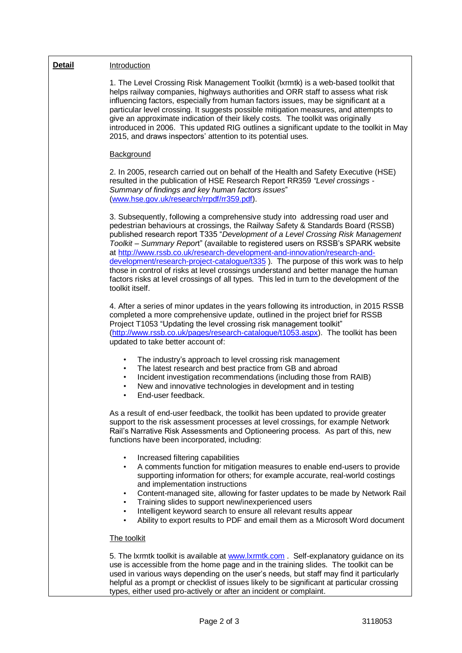| <b>Detail</b> | Introduction                                                                                                                                                                                                                                                                                                                                                                                                                                                                                                                                                                                                                                                                                                        |
|---------------|---------------------------------------------------------------------------------------------------------------------------------------------------------------------------------------------------------------------------------------------------------------------------------------------------------------------------------------------------------------------------------------------------------------------------------------------------------------------------------------------------------------------------------------------------------------------------------------------------------------------------------------------------------------------------------------------------------------------|
|               | 1. The Level Crossing Risk Management Toolkit (Ixrmtk) is a web-based toolkit that<br>helps railway companies, highways authorities and ORR staff to assess what risk<br>influencing factors, especially from human factors issues, may be significant at a<br>particular level crossing. It suggests possible mitigation measures, and attempts to<br>give an approximate indication of their likely costs. The toolkit was originally<br>introduced in 2006. This updated RIG outlines a significant update to the toolkit in May<br>2015, and draws inspectors' attention to its potential uses.                                                                                                                 |
|               | Background                                                                                                                                                                                                                                                                                                                                                                                                                                                                                                                                                                                                                                                                                                          |
|               | 2. In 2005, research carried out on behalf of the Health and Safety Executive (HSE)<br>resulted in the publication of HSE Research Report RR359 "Level crossings -<br>Summary of findings and key human factors issues"<br>(www.hse.gov.uk/research/rrpdf/rr359.pdf).                                                                                                                                                                                                                                                                                                                                                                                                                                               |
|               | 3. Subsequently, following a comprehensive study into addressing road user and<br>pedestrian behaviours at crossings, the Railway Safety & Standards Board (RSSB)<br>published research report T335 "Development of a Level Crossing Risk Management<br>Toolkit - Summary Report" (available to registered users on RSSB's SPARK website<br>at http://www.rssb.co.uk/research-development-and-innovation/research-and-<br>development/research-project-catalogue/t335). The purpose of this work was to help<br>those in control of risks at level crossings understand and better manage the human<br>factors risks at level crossings of all types. This led in turn to the development of the<br>toolkit itself. |
|               | 4. After a series of minor updates in the years following its introduction, in 2015 RSSB<br>completed a more comprehensive update, outlined in the project brief for RSSB<br>Project T1053 "Updating the level crossing risk management toolkit"<br>(http://www.rssb.co.uk/pages/research-catalogue/t1053.aspx). The toolkit has been<br>updated to take better account of:                                                                                                                                                                                                                                                                                                                                         |
|               | The industry's approach to level crossing risk management<br>$\bullet$<br>The latest research and best practice from GB and abroad<br>٠<br>Incident investigation recommendations (including those from RAIB)<br>٠<br>New and innovative technologies in development and in testing<br>٠<br>End-user feedback.                                                                                                                                                                                                                                                                                                                                                                                                      |
|               | As a result of end-user feedback, the toolkit has been updated to provide greater<br>support to the risk assessment processes at level crossings, for example Network<br>Rail's Narrative Risk Assessments and Optioneering process. As part of this, new<br>functions have been incorporated, including:                                                                                                                                                                                                                                                                                                                                                                                                           |
|               | Increased filtering capabilities<br>$\bullet$<br>A comments function for mitigation measures to enable end-users to provide<br>$\bullet$<br>supporting information for others; for example accurate, real-world costings<br>and implementation instructions<br>Content-managed site, allowing for faster updates to be made by Network Rail<br>$\bullet$<br>Training slides to support new/inexperienced users<br>$\bullet$<br>Intelligent keyword search to ensure all relevant results appear<br>$\bullet$<br>Ability to export results to PDF and email them as a Microsoft Word document                                                                                                                        |
|               | The toolkit                                                                                                                                                                                                                                                                                                                                                                                                                                                                                                                                                                                                                                                                                                         |
|               | 5. The Ixrmtk toolkit is available at www.lxrmtk.com . Self-explanatory guidance on its<br>use is accessible from the home page and in the training slides. The toolkit can be<br>used in various ways depending on the user's needs, but staff may find it particularly<br>helpful as a prompt or checklist of issues likely to be significant at particular crossing<br>types, either used pro-actively or after an incident or complaint.                                                                                                                                                                                                                                                                        |